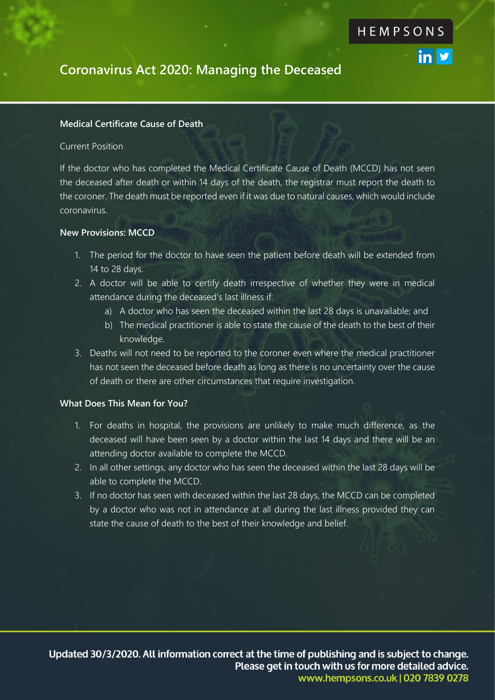in y

## **Coronavirus Act 2020: Managing the Deceased**

## **Medical Certificate Cause of Death**

### Current Position

If the doctor who has completed the Medical Certificate Cause of Death (MCCD) has not seen the deceased after death or within 14 days of the death, the registrar must report the death to the coroner. The death must be reported even if it was due to natural causes, which would include coronavirus.

### **New Provisions: MCCD**

- 1. The period for the doctor to have seen the patient before death will be extended from 14 to 28 days.
- 2. A doctor will be able to certify death irrespective of whether they were in medical attendance during the deceased's last illness if:
	- a) A doctor who has seen the deceased within the last 28 days is unavailable; and
	- b) The medical practitioner is able to state the cause of the death to the best of their knowledge.
- 3. Deaths will not need to be reported to the coroner even where the medical practitioner has not seen the deceased before death as long as there is no uncertainty over the cause of death or there are other circumstances that require investigation.

## **What Does This Mean for You?**

- 1. For deaths in hospital, the provisions are unlikely to make much difference, as the deceased will have been seen by a doctor within the last 14 days and there will be an attending doctor available to complete the MCCD.
- 2. In all other settings, any doctor who has seen the deceased within the last 28 days will be able to complete the MCCD.
- 3. If no doctor has seen with deceased within the last 28 days, the MCCD can be completed by a doctor who was not in attendance at all during the last illness provided they can state the cause of death to the best of their knowledge and belief.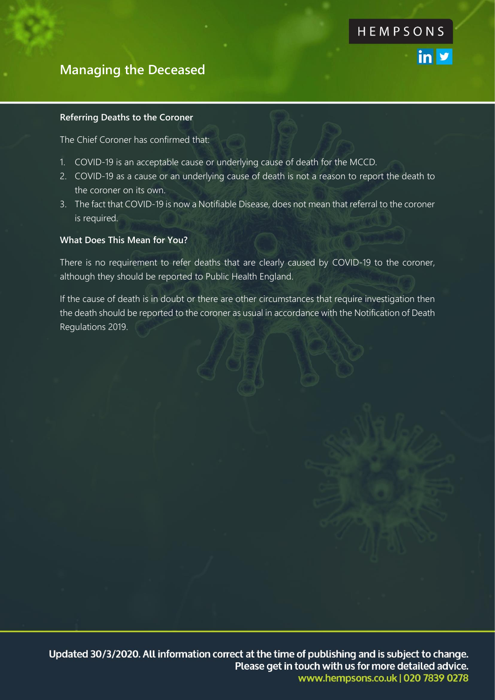## **Managing the Deceased**

#### **Referring Deaths to the Coroner**

The Chief Coroner has confirmed that:

- 1. COVID-19 is an acceptable cause or underlying cause of death for the MCCD.
- 2. COVID-19 as a cause or an underlying cause of death is not a reason to report the death to the coroner on its own.

HEMPSONS

in y

3. The fact that COVID-19 is now a Notifiable Disease, does not mean that referral to the coroner is required.

#### **What Does This Mean for You?**

There is no requirement to refer deaths that are clearly caused by COVID-19 to the coroner, although they should be reported to Public Health England.

If the cause of death is in doubt or there are other circumstances that require investigation then the death should be reported to the coroner as usual in accordance with the Notification of Death Regulations 2019.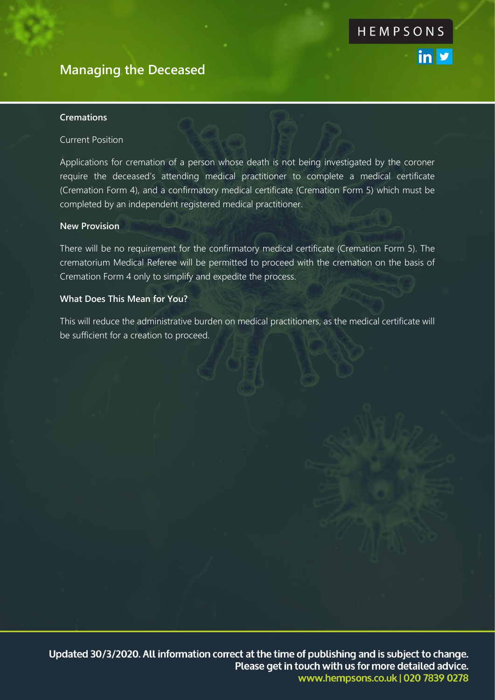# **Managing the Deceased**

### **Cremations**

### Current Position

Applications for cremation of a person whose death is not being investigated by the coroner require the deceased's attending medical practitioner to complete a medical certificate (Cremation Form 4), and a confirmatory medical certificate (Cremation Form 5) which must be completed by an independent registered medical practitioner.

#### **New Provision**

There will be no requirement for the confirmatory medical certificate (Cremation Form 5). The crematorium Medical Referee will be permitted to proceed with the cremation on the basis of Cremation Form 4 only to simplify and expedite the process.

## **What Does This Mean for You?**

This will reduce the administrative burden on medical practitioners, as the medical certificate will be sufficient for a creation to proceed.